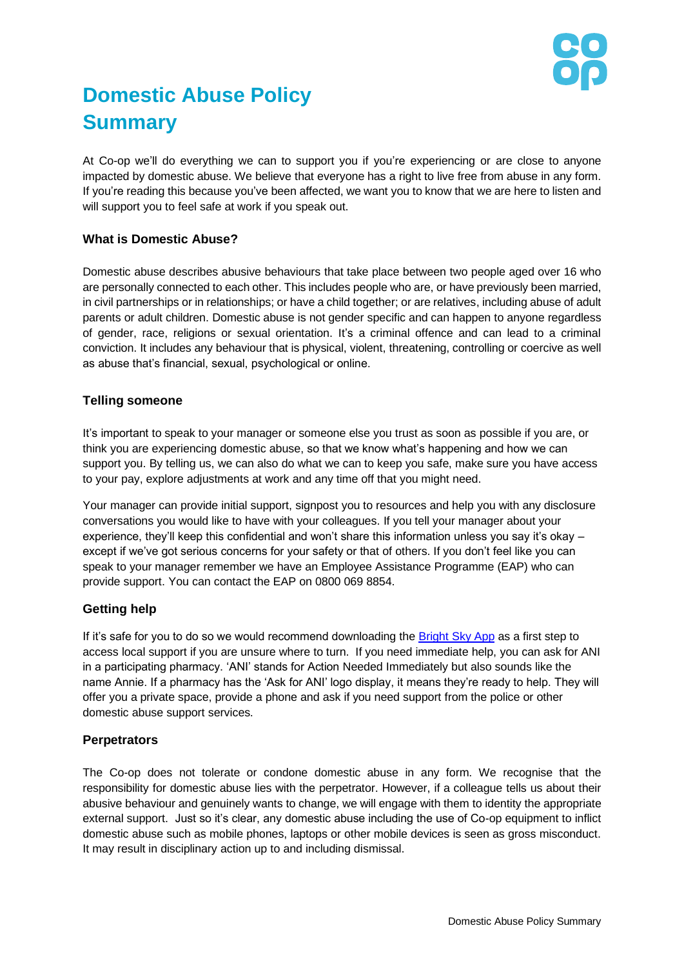

# **Domestic Abuse Policy Summary**

At Co-op we'll do everything we can to support you if you're experiencing or are close to anyone impacted by domestic abuse. We believe that everyone has a right to live free from abuse in any form. If you're reading this because you've been affected, we want you to know that we are here to listen and will support you to feel safe at work if you speak out.

## **What is Domestic Abuse?**

Domestic abuse describes abusive behaviours that take place between two people aged over 16 who are personally connected to each other. This includes people who are, or have previously been married, in civil partnerships or in relationships; or have a child together; or are relatives, including abuse of adult parents or adult children. Domestic abuse is not gender specific and can happen to anyone regardless of gender, race, religions or sexual orientation. It's a criminal offence and can lead to a criminal conviction. It includes any behaviour that is physical, violent, threatening, controlling or coercive as well as abuse that's financial, sexual, psychological or online.

#### **Telling someone**

It's important to speak to your manager or someone else you trust as soon as possible if you are, or think you are experiencing domestic abuse, so that we know what's happening and how we can support you. By telling us, we can also do what we can to keep you safe, make sure you have access to your pay, explore adjustments at work and any time off that you might need.

Your manager can provide initial support, signpost you to resources and help you with any disclosure conversations you would like to have with your colleagues. If you tell your manager about your experience, they'll keep this confidential and won't share this information unless you say it's okay – except if we've got serious concerns for your safety or that of others. If you don't feel like you can speak to your manager remember we have an Employee Assistance Programme (EAP) who can provide support. You can contact the EAP on 0800 069 8854.

## **Getting help**

If it's safe for you to do so we would recommend downloading the [Bright Sky App](https://www.bright-sky.org.uk/) as a first step to access local support if you are unsure where to turn. If you need immediate help, you can ask for ANI in a participating pharmacy. 'ANI' stands for Action Needed Immediately but also sounds like the name Annie. If a pharmacy has the 'Ask for ANI' logo display, it means they're ready to help. They will offer you a private space, provide a phone and ask if you need support from the police or other domestic abuse support services.

## **Perpetrators**

The Co-op does not tolerate or condone domestic abuse in any form. We recognise that the responsibility for domestic abuse lies with the perpetrator. However, if a colleague tells us about their abusive behaviour and genuinely wants to change, we will engage with them to identity the appropriate external support. Just so it's clear, any domestic abuse including the use of Co-op equipment to inflict domestic abuse such as mobile phones, laptops or other mobile devices is seen as gross misconduct. It may result in disciplinary action up to and including dismissal.